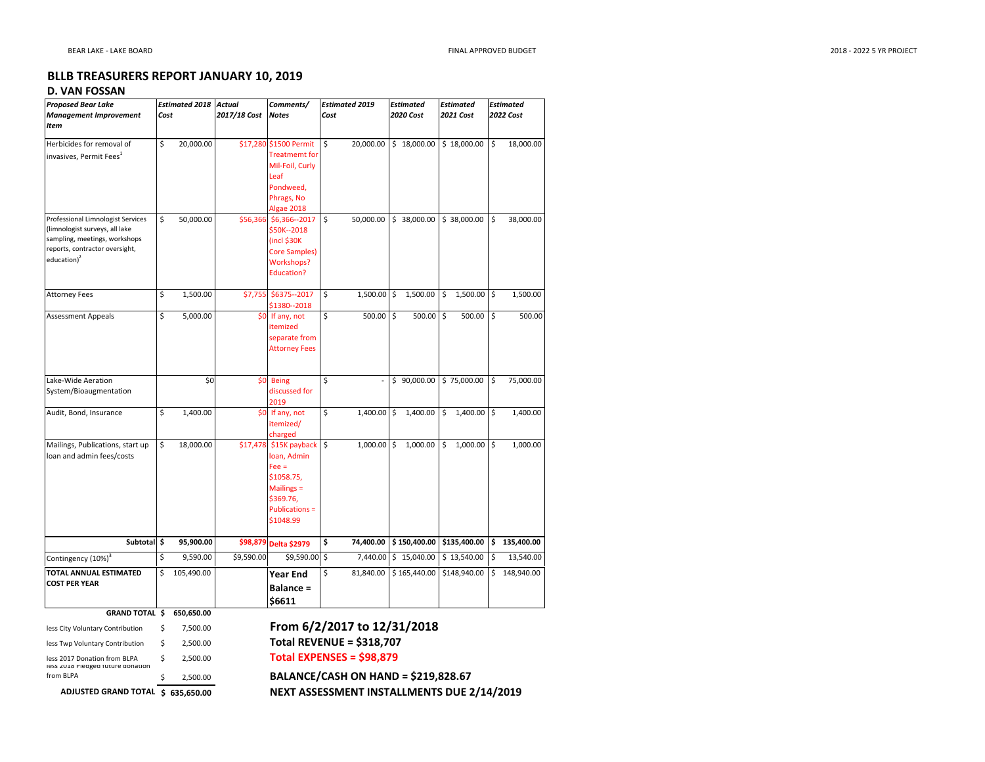## BLLB TREASURERS REPORT JANUARY 10, 2019

## D. VAN FOSSAN

| <b>Proposed Bear Lake</b>                                                                                                                                 | <b>Estimated 2018 Actual</b> |            |              | Comments/                                                                                                                        |    | <b>Estimated 2019</b> |    | <b>Estimated</b> |    | <b>Estimated</b> |      | <b>Estimated</b> |  |  |
|-----------------------------------------------------------------------------------------------------------------------------------------------------------|------------------------------|------------|--------------|----------------------------------------------------------------------------------------------------------------------------------|----|-----------------------|----|------------------|----|------------------|------|------------------|--|--|
| <b>Management Improvement</b>                                                                                                                             |                              | Cost       | 2017/18 Cost | <b>Notes</b>                                                                                                                     |    | Cost                  |    | 2020 Cost        |    | 2021 Cost        |      | 2022 Cost        |  |  |
| Item                                                                                                                                                      |                              |            |              |                                                                                                                                  |    |                       |    |                  |    |                  |      |                  |  |  |
| Herbicides for removal of<br>invasives, Permit Fees <sup>1</sup>                                                                                          | \$                           | 20,000.00  |              | \$17,280 \$1500 Permit<br><b>Treatmemt for</b><br>Mil-Foil, Curly<br>Leaf<br>Pondweed,<br>Phrags, No                             | \$ | 20,000.00             |    | \$18,000.00      |    | \$18,000.00      | l \$ | 18,000.00        |  |  |
| Professional Limnologist Services<br>(limnologist surveys, all lake<br>sampling, meetings, workshops<br>reports, contractor oversight,<br>education $)^2$ | \$                           | 50,000.00  |              | Algae 2018<br>\$56,366 \$6,366--2017<br>\$50K--2018<br>$($ incl \$30K<br>Core Samples)<br><b>Workshops?</b><br><b>Education?</b> | \$ | 50,000.00             |    | \$38,000.00      |    | \$38,000.00      | l\$  | 38,000.00        |  |  |
| <b>Attorney Fees</b>                                                                                                                                      | \$                           | 1,500.00   | \$7,755      | \$6375 -- 2017<br>\$1380 -- 2018                                                                                                 | \$ | 1,500.00              | \$ | 1,500.00         | \$ | $1,500.00$ \$    |      | 1,500.00         |  |  |
| <b>Assessment Appeals</b>                                                                                                                                 | \$                           | 5,000.00   |              | \$0 If any, not<br>itemized<br>separate from<br><b>Attorney Fees</b>                                                             | \$ | 500.00                | \$ | 500.00           | \$ | 500.00           | ls.  | 500.00           |  |  |
| Lake-Wide Aeration<br>System/Bioaugmentation                                                                                                              |                              | \$0        | \$0          | <b>Being</b><br>discussed for<br>2019                                                                                            | \$ |                       |    | \$90,000.00      |    | \$75,000.00      | \$   | 75,000.00        |  |  |
| Audit, Bond, Insurance                                                                                                                                    | \$                           | 1,400.00   |              | \$0 If any, not<br>itemized/<br>charged                                                                                          | \$ | 1,400.00              | \$ | 1,400.00         | \$ | $1,400.00$ \$    |      | 1,400.00         |  |  |
| Mailings, Publications, start up<br>loan and admin fees/costs                                                                                             | \$                           | 18,000.00  | \$17,478     | \$15K payback<br>loan, Admin<br>$Fee =$<br>\$1058.75,<br>Mailings =<br>\$369.76,<br><b>Publications =</b><br>\$1048.99           | \$ | 1,000.00              | \$ | 1,000.00         | \$ | $1,000.00$ \$    |      | 1,000.00         |  |  |
| Subtotal \$                                                                                                                                               |                              | 95,900.00  |              | \$98,879 Delta \$2979                                                                                                            | \$ | 74,400.00             |    | \$150,400.00     |    | $$135,400.00$ \$ |      | 135,400.00       |  |  |
| Contingency (10%) <sup>3</sup>                                                                                                                            | \$                           | 9,590.00   | \$9,590.00   | \$9,590.00 \$                                                                                                                    |    | 7,440.00              |    | \$15,040.00      |    | \$13,540.00      | \$   | 13,540.00        |  |  |
| <b>TOTAL ANNUAL ESTIMATED</b><br><b>COST PER YEAR</b>                                                                                                     | \$                           | 105,490.00 |              | <b>Year End</b><br><b>Balance =</b><br>\$6611                                                                                    | \$ | 81,840.00             |    | \$165,440.00     |    | \$148,940.00     |      | \$148,940.00     |  |  |

| <b>GRAND TOTAL \$</b>                                              |    | 650.650.00   |
|--------------------------------------------------------------------|----|--------------|
| less City Voluntary Contribution                                   | Ś  | 7.500.00     |
| less Twp Voluntary Contribution                                    | \$ | 2.500.00     |
| less 2017 Donation from BLPA<br>less zulls Pleaged future donation | Ś  | 2.500.00     |
| from BLPA                                                          | ς  | 2,500.00     |
| <b>ADJUSTED GRAND TOTAL</b>                                        |    | \$635.650.00 |

## From 6/2/2017 to 12/31/2018Total REVENUE = \$318,707

A \$ 2,500.00 **Total EXPENSES = \$98,879** 

 $\frac{1}{2}$  BALANCE/CASH ON HAND = \$219,828.67 NEXT ASSESSMENT INSTALLMENTS DUE 2/14/2019